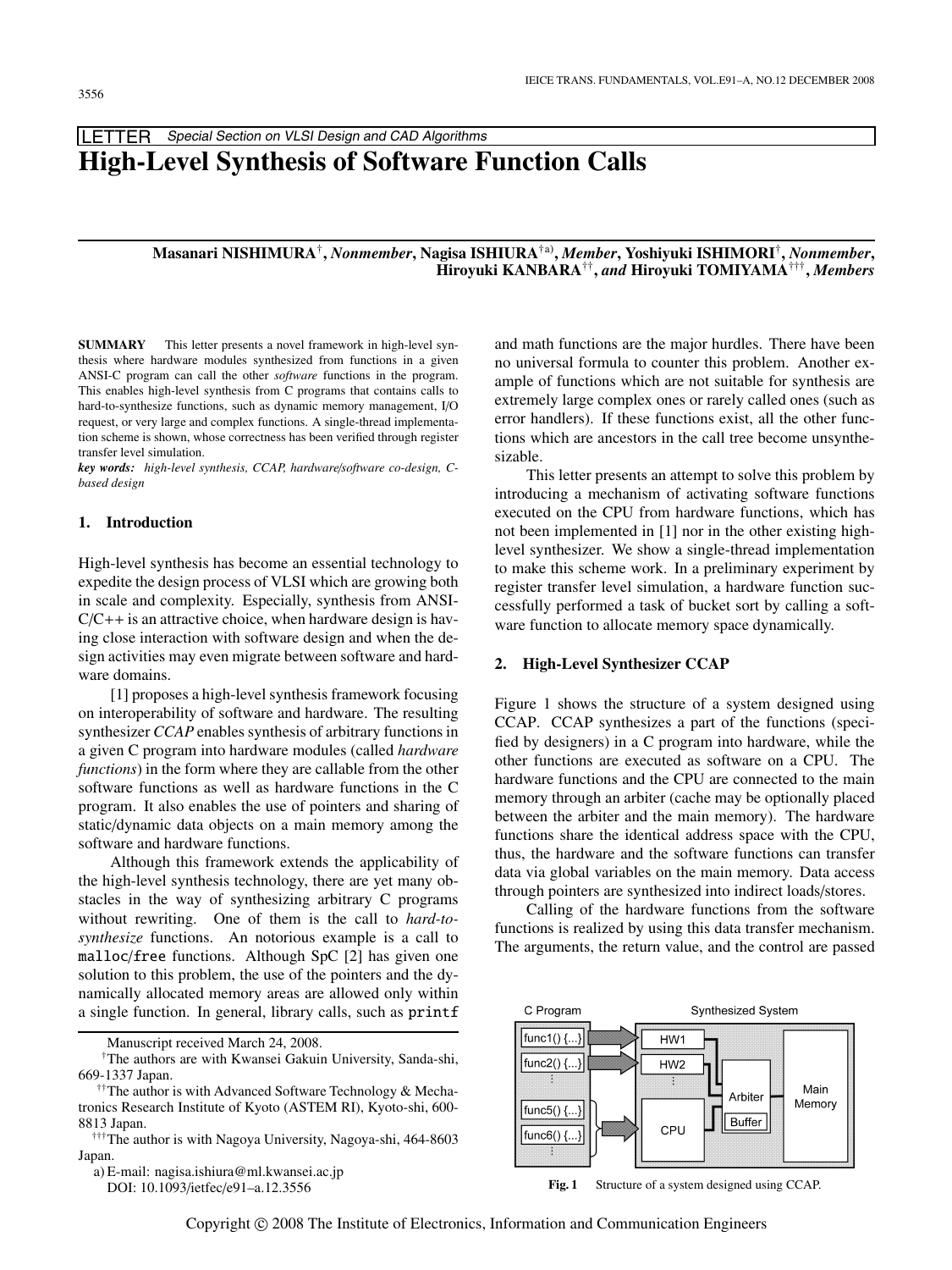**LETTER** Special Section on VLSI Design and CAD Algorithms

# **High-Level Synthesis of Software Function Calls**

# **Masanari NISHIMURA**†**,** *Nonmember***, Nagisa ISHIURA**†a)**,** *Member***, Yoshiyuki ISHIMORI**†**,** *Nonmember***, Hiroyuki KANBARA**††**,** *and* **Hiroyuki TOMIYAMA**†††**,** *Members*

**SUMMARY** This letter presents a novel framework in high-level synthesis where hardware modules synthesized from functions in a given ANSI-C program can call the other *software* functions in the program. This enables high-level synthesis from C programs that contains calls to hard-to-synthesize functions, such as dynamic memory management, I/O request, or very large and complex functions. A single-thread implementation scheme is shown, whose correctness has been verified through register transfer level simulation.

*key words: high-level synthesis, CCAP, hardware*/*software co-design, Cbased design*

## **1. Introduction**

High-level synthesis has become an essential technology to expedite the design process of VLSI which are growing both in scale and complexity. Especially, synthesis from ANSI- $C/C++$  is an attractive choice, when hardware design is having close interaction with software design and when the design activities may even migrate between software and hardware domains.

[1] proposes a high-level synthesis framework focusing on interoperability of software and hardware. The resulting synthesizer *CCAP* enables synthesis of arbitrary functions in a given C program into hardware modules (called *hardware functions*) in the form where they are callable from the other software functions as well as hardware functions in the C program. It also enables the use of pointers and sharing of static/dynamic data objects on a main memory among the software and hardware functions.

Although this framework extends the applicability of the high-level synthesis technology, there are yet many obstacles in the way of synthesizing arbitrary C programs without rewriting. One of them is the call to *hard-tosynthesize* functions. An notorious example is a call to malloc/free functions. Although SpC [2] has given one solution to this problem, the use of the pointers and the dynamically allocated memory areas are allowed only within a single function. In general, library calls, such as printf

Manuscript received March 24, 2008.

a) E-mail: nagisa.ishiura@ml.kwansei.ac.jp DOI: 10.1093/ietfec/e91–a.12.3556

and math functions are the major hurdles. There have been no universal formula to counter this problem. Another example of functions which are not suitable for synthesis are extremely large complex ones or rarely called ones (such as error handlers). If these functions exist, all the other functions which are ancestors in the call tree become unsynthesizable.

This letter presents an attempt to solve this problem by introducing a mechanism of activating software functions executed on the CPU from hardware functions, which has not been implemented in [1] nor in the other existing highlevel synthesizer. We show a single-thread implementation to make this scheme work. In a preliminary experiment by register transfer level simulation, a hardware function successfully performed a task of bucket sort by calling a software function to allocate memory space dynamically.

#### **2. High-Level Synthesizer CCAP**

Figure 1 shows the structure of a system designed using CCAP. CCAP synthesizes a part of the functions (specified by designers) in a C program into hardware, while the other functions are executed as software on a CPU. The hardware functions and the CPU are connected to the main memory through an arbiter (cache may be optionally placed between the arbiter and the main memory). The hardware functions share the identical address space with the CPU, thus, the hardware and the software functions can transfer data via global variables on the main memory. Data access through pointers are synthesized into indirect loads/stores.

Calling of the hardware functions from the software functions is realized by using this data transfer mechanism. The arguments, the return value, and the control are passed



**Fig. 1** Structure of a system designed using CCAP.

<sup>†</sup>The authors are with Kwansei Gakuin University, Sanda-shi, 669-1337 Japan.

<sup>&</sup>lt;sup>††</sup>The author is with Advanced Software Technology & Mechatronics Research Institute of Kyoto (ASTEM RI), Kyoto-shi, 600- 8813 Japan.

<sup>†††</sup>The author is with Nagoya University, Nagoya-shi, 464-8603 Japan.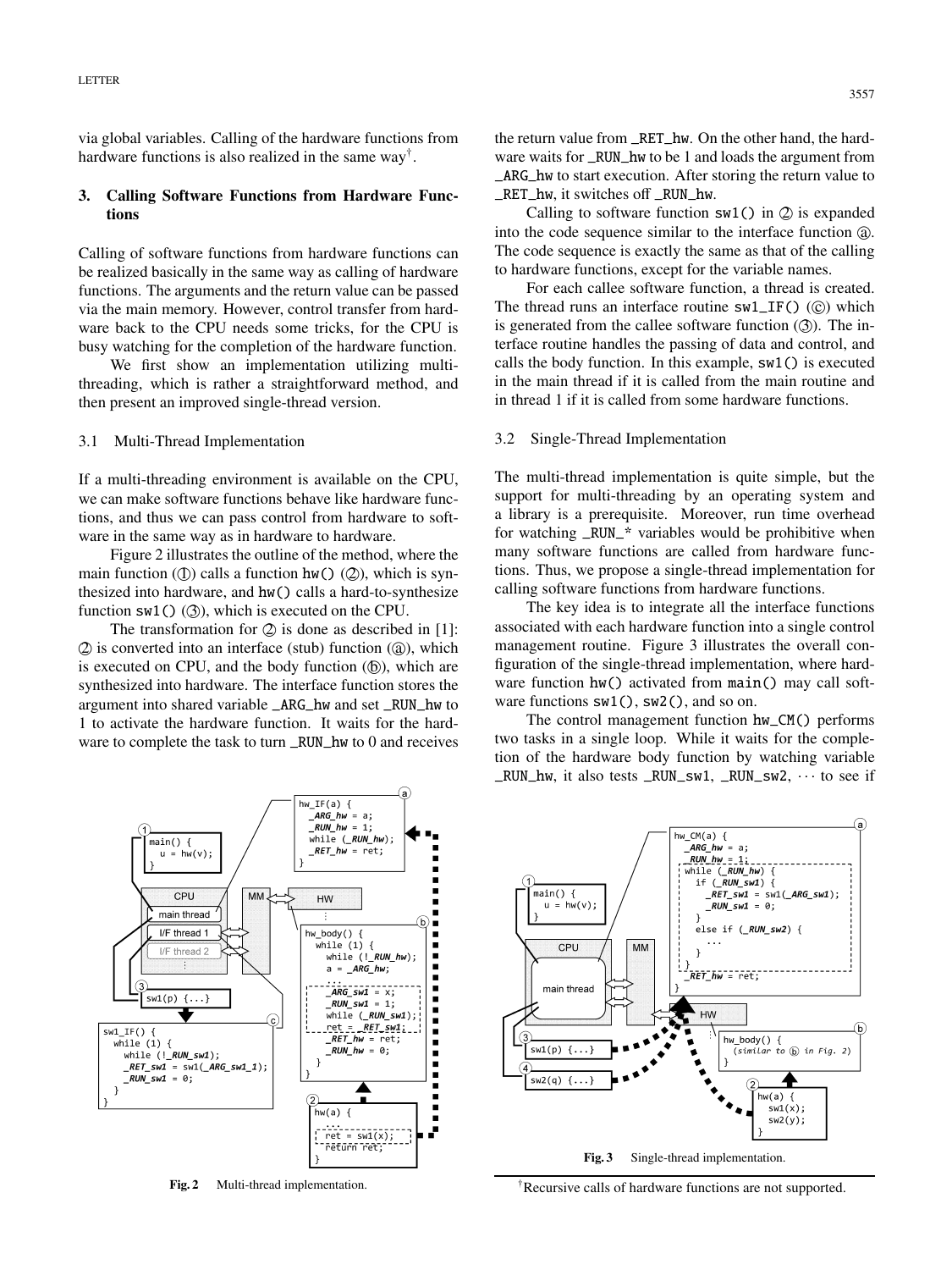via global variables. Calling of the hardware functions from hardware functions is also realized in the same way†.

# **3. Calling Software Functions from Hardware Functions**

Calling of software functions from hardware functions can be realized basically in the same way as calling of hardware functions. The arguments and the return value can be passed via the main memory. However, control transfer from hardware back to the CPU needs some tricks, for the CPU is busy watching for the completion of the hardware function.

We first show an implementation utilizing multithreading, which is rather a straightforward method, and then present an improved single-thread version.

## 3.1 Multi-Thread Implementation

If a multi-threading environment is available on the CPU, we can make software functions behave like hardware functions, and thus we can pass control from hardware to software in the same way as in hardware to hardware.

Figure 2 illustrates the outline of the method, where the main function ( $\circled{1}$ ) calls a function hw() ( $\circled{2}$ ), which is synthesized into hardware, and hw() calls a hard-to-synthesize function  $sw1()$  ( $\circled{3}$ ), which is executed on the CPU.

The transformation for  $\oslash$  is done as described in [1]:  $Q$  is converted into an interface (stub) function  $(Q)$ , which is executed on CPU, and the body function  $(\mathbf{b})$ , which are synthesized into hardware. The interface function stores the argument into shared variable \_ARG\_hw and set \_RUN\_hw to 1 to activate the hardware function. It waits for the hardware to complete the task to turn \_RUN\_hw to 0 and receives the return value from \_RET\_hw. On the other hand, the hardware waits for RUN hw to be 1 and loads the argument from \_ARG\_hw to start execution. After storing the return value to \_RET\_hw, it switches off \_RUN\_hw.

Calling to software function  $sw1()$  in  $Q$  is expanded into the code sequence similar to the interface function  $\omega$ . The code sequence is exactly the same as that of the calling to hardware functions, except for the variable names.

For each callee software function, a thread is created. The thread runs an interface routine  $sw1\_IF()$  ( $\odot$ ) which is generated from the callee software function  $(3)$ . The interface routine handles the passing of data and control, and calls the body function. In this example, sw1() is executed in the main thread if it is called from the main routine and in thread 1 if it is called from some hardware functions.

#### 3.2 Single-Thread Implementation

The multi-thread implementation is quite simple, but the support for multi-threading by an operating system and a library is a prerequisite. Moreover, run time overhead for watching \_RUN\_\* variables would be prohibitive when many software functions are called from hardware functions. Thus, we propose a single-thread implementation for calling software functions from hardware functions.

The key idea is to integrate all the interface functions associated with each hardware function into a single control management routine. Figure 3 illustrates the overall configuration of the single-thread implementation, where hardware function hw() activated from main() may call software functions  $sw1()$ ,  $sw2()$ , and so on.

The control management function hw\_CM() performs two tasks in a single loop. While it waits for the completion of the hardware body function by watching variable  $_RUN_hw$ , it also tests  $_RUN_sw1$ ,  $_RUN_sw2$ ,  $\cdots$  to see if



Fig. 2 Multi-thread implementation.



†Recursive calls of hardware functions are not supported.